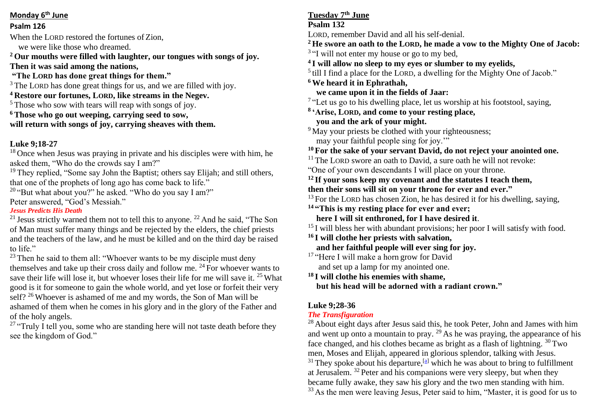### **Monday 6th June**

### **Psalm 126**

When the LORD restored the fortunes of Zion, we were like those who dreamed.

**<sup>2</sup> Our mouths were filled with laughter, our tongues with songs of joy. Then it was said among the nations,**

**"The LORD has done great things for them."**

<sup>3</sup> The LORD has done great things for us, and we are filled with joy.

**<sup>4</sup> Restore our fortunes, LORD, like streams in the Negev.**

 $5$  Those who sow with tears will reap with songs of joy.

**<sup>6</sup> Those who go out weeping, carrying seed to sow,**

**will return with songs of joy, carrying sheaves with them.**

# **Luke 9;18-27**

<sup>18</sup> Once when Jesus was praying in private and his disciples were with him, he asked them, "Who do the crowds say I am?"

 $19$  They replied, "Some say John the Baptist; others say Elijah; and still others, that one of the prophets of long ago has come back to life."

 $20$  "But what about you?" he asked. "Who do you say I am?"

Peter answered, "God's Messiah."

## *Jesus Predicts His Death*

<sup>21</sup> Jesus strictly warned them not to tell this to anyone. <sup>22</sup> And he said, "The Son of Man must suffer many things and be rejected by the elders, the chief priests and the teachers of the law, and he must be killed and on the third day be raised to life."

 $23$  Then he said to them all: "Whoever wants to be my disciple must deny themselves and take up their cross daily and follow me.  $^{24}$  For whoever wants to save their life will lose it, but whoever loses their life for me will save it. <sup>25</sup> What good is it for someone to gain the whole world, and yet lose or forfeit their very self? <sup>26</sup> Whoever is ashamed of me and my words, the Son of Man will be ashamed of them when he comes in his glory and in the glory of the Father and of the holy angels.

 $27$  "Truly I tell you, some who are standing here will not taste death before they see the kingdom of God."

## **Tuesday 7th June**

## **Psalm 132**

LORD, remember David and all his self-denial.

**<sup>2</sup> He swore an oath to the LORD, he made a vow to the Mighty One of Jacob:**

<sup>3</sup> "I will not enter my house or go to my bed,

**4 I will allow no sleep to my eyes or slumber to my eyelids,**

<sup>5</sup> till I find a place for the LORD, a dwelling for the Mighty One of Jacob."

**<sup>6</sup> We heard it in Ephrathah,**

 **we came upon it in the fields of Jaar:**

 $7$  "Let us go to his dwelling place, let us worship at his footstool, saying,

**8 'Arise, LORD, and come to your resting place, you and the ark of your might.**

<sup>9</sup> May your priests be clothed with your righteousness; may your faithful people sing for joy.'"

**<sup>10</sup> For the sake of your servant David, do not reject your anointed one.**

- $11$  The LORD swore an oath to David, a sure oath he will not revoke:
- "One of your own descendants I will place on your throne.

**<sup>12</sup> If your sons keep my covenant and the statutes I teach them, then their sons will sit on your throne for ever and ever."**

 $13$  For the LORD has chosen Zion, he has desired it for his dwelling, saying,

**<sup>14</sup> "This is my resting place for ever and ever;**

 **here I will sit enthroned, for I have desired it**.

 $15$  I will bless her with abundant provisions; her poor I will satisfy with food.

**<sup>16</sup> I will clothe her priests with salvation,**

 **and her faithful people will ever sing for joy.**

<sup>17</sup> "Here I will make a horn grow for David and set up a lamp for my anointed one.

**<sup>18</sup> I will clothe his enemies with shame, but his head will be adorned with a radiant crown."**

# **Luke 9;28-36**

## *The Transfiguration*

 $28$  About eight days after Jesus said this, he took Peter, John and James with him and went up onto a mountain to pray.  $2<sup>9</sup>$  As he was praying, the appearance of his face changed, and his clothes became as bright as a flash of lightning. <sup>30</sup> Two men, Moses and Elijah, appeared in glorious splendor, talking with Jesus.  $31$  They spoke about his departure,  $[4]$  which he was about to bring to fulfillment at Jerusalem. <sup>32</sup> Peter and his companions were very sleepy, but when they became fully awake, they saw his glory and the two men standing with him. <sup>33</sup> As the men were leaving Jesus, Peter said to him, "Master, it is good for us to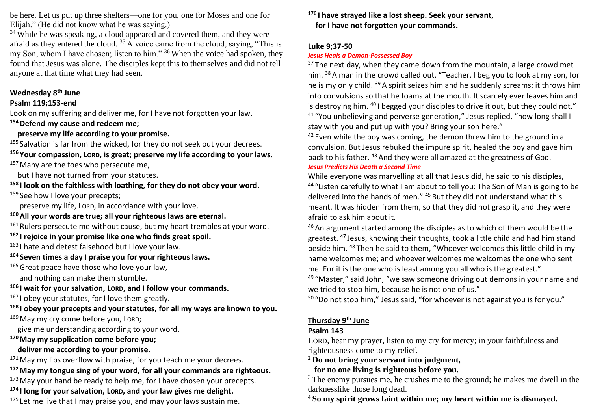be here. Let us put up three shelters—one for you, one for Moses and one for Elijah." (He did not know what he was saying.)

<sup>34</sup> While he was speaking, a cloud appeared and covered them, and they were afraid as they entered the cloud.  $35 \text{ Å}$  voice came from the cloud, saying, "This is my Son, whom I have chosen; listen to him." <sup>36</sup> When the voice had spoken, they found that Jesus was alone. The disciples kept this to themselves and did not tell anyone at that time what they had seen.

#### **Wednesday 8th June**

### **Psalm 119;153-end**

Look on my suffering and deliver me, for I have not forgotten your law.

### **<sup>154</sup>Defend my cause and redeem me;**

### **preserve my life according to your promise.**

<sup>155</sup> Salvation is far from the wicked, for they do not seek out your decrees.

**<sup>156</sup> Your compassion, LORD, is great; preserve my life according to your laws.**

<sup>157</sup> Many are the foes who persecute me,

but I have not turned from your statutes.

### **<sup>158</sup> I look on the faithless with loathing, for they do not obey your word.**

<sup>159</sup> See how I love your precepts;

preserve my life, LORD, in accordance with your love.

### **<sup>160</sup>All your words are true; all your righteous laws are eternal.**

<sup>161</sup> Rulers persecute me without cause, but my heart trembles at your word.

### **<sup>162</sup> I rejoice in your promise like one who finds great spoil.**

<sup>163</sup> I hate and detest falsehood but I love your law.

### **<sup>164</sup> Seven times a day I praise you for your righteous laws.**

165 Great peace have those who love your law,

and nothing can make them stumble.

**<sup>166</sup> I wait for your salvation, LORD, and I follow your commands.**

<sup>167</sup> I obey your statutes, for I love them greatly.

**<sup>168</sup> I obey your precepts and your statutes, for all my ways are known to you.** <sup>169</sup> May my cry come before you, LORD:

give me understanding according to your word.

**<sup>170</sup> May my supplication come before you;**

## **deliver me according to your promise.**

 $171$  May my lips overflow with praise, for you teach me your decrees.

# **<sup>172</sup> May my tongue sing of your word, for all your commands are righteous.**

 $173$  May your hand be ready to help me, for I have chosen your precepts.

**<sup>174</sup> I long for your salvation, LORD, and your law gives me delight.**

<sup>175</sup> Let me live that I may praise you, and may your laws sustain me.

**<sup>176</sup> I have strayed like a lost sheep. Seek your servant, for I have not forgotten your commands.**

### **Luke 9;37-50**

## *Jesus Heals a Demon-Possessed Boy*

 $37$  The next day, when they came down from the mountain, a large crowd met him. <sup>38</sup> A man in the crowd called out, "Teacher, I beg you to look at my son, for he is my only child. <sup>39</sup> A spirit seizes him and he suddenly screams; it throws him into convulsions so that he foams at the mouth. It scarcely ever leaves him and is destroying him. <sup>40</sup> I begged your disciples to drive it out, but they could not." <sup>41</sup> "You unbelieving and perverse generation," Jesus replied, "how long shall I stay with you and put up with you? Bring your son here."

 $42$  Even while the boy was coming, the demon threw him to the ground in a convulsion. But Jesus rebuked the impure spirit, healed the boy and gave him back to his father. <sup>43</sup> And they were all amazed at the greatness of God.

### *Jesus Predicts His Death a Second Time*

While everyone was marvelling at all that Jesus did, he said to his disciples, <sup>44</sup> "Listen carefully to what I am about to tell you: The Son of Man is going to be delivered into the hands of men." <sup>45</sup> But they did not understand what this meant. It was hidden from them, so that they did not grasp it, and they were afraid to ask him about it.

<sup>46</sup> An argument started among the disciples as to which of them would be the greatest. <sup>47</sup> Jesus, knowing their thoughts, took a little child and had him stand beside him. <sup>48</sup> Then he said to them, "Whoever welcomes this little child in my name welcomes me; and whoever welcomes me welcomes the one who sent me. For it is the one who is least among you all who is the greatest."

<sup>49</sup> "Master," said John, "we saw someone driving out demons in your name and we tried to stop him, because he is not one of us."

<sup>50</sup> "Do not stop him," Jesus said, "for whoever is not against you is for you."

## **Thursday 9th June**

## **Psalm 143**

LORD, hear my prayer, listen to my cry for mercy; in your faithfulness and righteousness come to my relief.

**<sup>2</sup> Do not bring your servant into judgment,**

 **for no one living is righteous before you.**

 $3$  The enemy pursues me, he crushes me to the ground; he makes me dwell in the darknesslike those long dead.

**<sup>4</sup> So my spirit grows faint within me; my heart within me is dismayed.**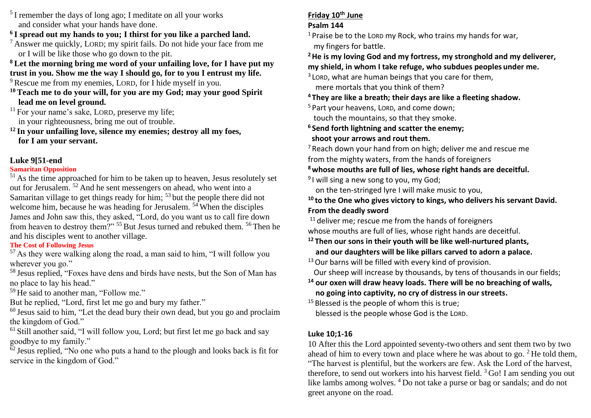- <sup>5</sup> I remember the days of long ago; I meditate on all your works and consider what your hands have done.
- **6 I spread out my hands to you; I thirst for you like a parched land.**
- <sup>7</sup> Answer me quickly, LORD; my spirit fails. Do not hide your face from me or I will be like those who go down to the pit.
- **<sup>8</sup> Let the morning bring me word of your unfailing love, for I have put my trust in you. Show me the way I should go, for to you I entrust my life.**
- <sup>9</sup> Rescue me from my enemies, LORD, for I hide myself in you.
- **<sup>10</sup>Teach me to do your will, for you are my God; may your good Spirit lead me on level ground.**
- $11$  For your name's sake, LORD, preserve my life; in your righteousness, bring me out of trouble.
- **<sup>12</sup> In your unfailing love, silence my enemies; destroy all my foes, for I am your servant.**

## **Luke 9[51-end**

## **Samaritan Opposition**

 $<sup>51</sup>$  As the time approached for him to be taken up to heaven, Jesus resolutely set</sup> out for Jerusalem. <sup>52</sup> And he sent messengers on ahead, who went into a Samaritan village to get things ready for him; <sup>53</sup> but the people there did not welcome him, because he was heading for Jerusalem.<sup>54</sup> When the disciples James and John saw this, they asked, "Lord, do you want us to call fire down from heaven to destroy them?" <sup>55</sup> But Jesus turned and rebuked them. <sup>56</sup> Then he and his disciples went to another village.

## **The Cost of Following Jesus**

<sup>57</sup> As they were walking along the road, a man said to him, "I will follow you wherever you go."

<sup>58</sup> Jesus replied, "Foxes have dens and birds have nests, but the Son of Man has no place to lay his head."

<sup>59</sup> He said to another man, "Follow me."

But he replied, "Lord, first let me go and bury my father."

- $60$  Jesus said to him, "Let the dead bury their own dead, but you go and proclaim the kingdom of God."
- <sup>61</sup> Still another said, "I will follow you, Lord; but first let me go back and say goodbye to my family."
- $\overline{62}$  Jesus replied, "No one who puts a hand to the plough and looks back is fit for service in the kingdom of God."

## **Friday 10th June**

## **Psalm 144**

<sup>1</sup> Praise be to the LORD my Rock, who trains my hands for war, my fingers for battle.

**<sup>2</sup>He is my loving God and my fortress, my stronghold and my deliverer, my shield, in whom I take refuge, who subdues peoples under me.**

 $3$  Lor $D$ , what are human beings that you care for them, mere mortals that you think of them?

**<sup>4</sup> They are like a breath; their days are like a fleeting shadow.**

<sup>5</sup> Part your heavens, LORD, and come down;

touch the mountains, so that they smoke.

**<sup>6</sup> Send forth lightning and scatter the enemy; shoot your arrows and rout them.**

 $<sup>7</sup>$  Reach down your hand from on high; deliver me and rescue me</sup> from the mighty waters, from the hands of foreigners

**<sup>8</sup> whose mouths are full of lies, whose right hands are deceitful.**

<sup>9</sup>I will sing a new song to you, my God;

on the ten-stringed lyre I will make music to you,

**<sup>10</sup> to the One who gives victory to kings, who delivers his servant David. From the deadly sword**

 $11$  deliver me; rescue me from the hands of foreigners whose mouths are full of lies, whose right hands are deceitful.

**<sup>12</sup> Then our sons in their youth will be like well-nurtured plants,**

 **and our daughters will be like pillars carved to adorn a palace.**

<sup>13</sup> Our barns will be filled with every kind of provision.

Our sheep will increase by thousands, by tens of thousands in our fields;

**<sup>14</sup> our oxen will draw heavy loads. There will be no breaching of walls, no going into captivity, no cry of distress in our streets.**

 $15$  Blessed is the people of whom this is true;

blessed is the people whose God is the LORD.

# **Luke 10;1-16**

10 After this the Lord appointed seventy-two others and sent them two by two ahead of him to every town and place where he was about to go.  $^{2}$  He told them, "The harvest is plentiful, but the workers are few. Ask the Lord of the harvest, therefore, to send out workers into his harvest field.  ${}^{3}$  Go! I am sending you out like lambs among wolves. <sup>4</sup> Do not take a purse or bag or sandals; and do not greet anyone on the road.